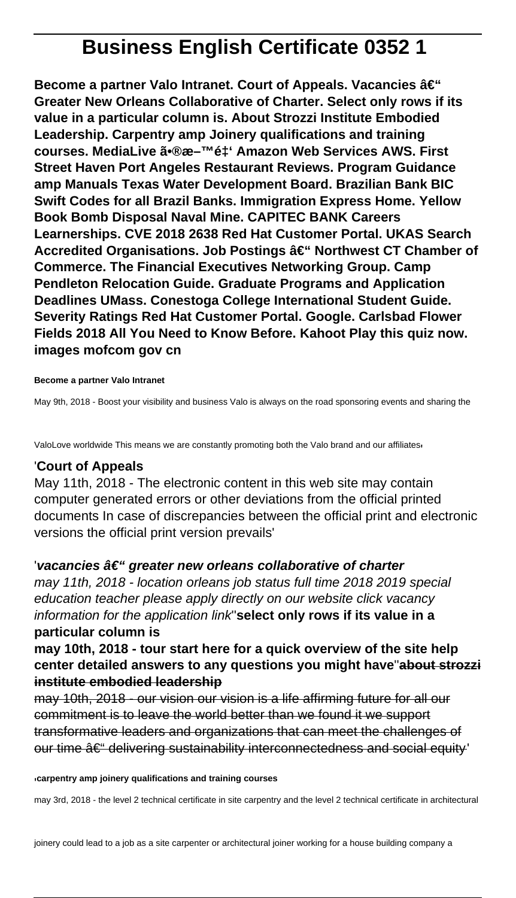# **Business English Certificate 0352 1**

**Become a partner Valo Intranet. Court of Appeals. Vacancies – Greater New Orleans Collaborative of Charter. Select only rows if its value in a particular column is. About Strozzi Institute Embodied Leadership. Carpentry amp Joinery qualifications and training** courses. MediaLive ã•®æ-<sup>™</sup>é‡' Amazon Web Services AWS. First **Street Haven Port Angeles Restaurant Reviews. Program Guidance amp Manuals Texas Water Development Board. Brazilian Bank BIC Swift Codes for all Brazil Banks. Immigration Express Home. Yellow Book Bomb Disposal Naval Mine. CAPITEC BANK Careers Learnerships. CVE 2018 2638 Red Hat Customer Portal. UKAS Search Accredited Organisations. Job Postings – Northwest CT Chamber of Commerce. The Financial Executives Networking Group. Camp Pendleton Relocation Guide. Graduate Programs and Application Deadlines UMass. Conestoga College International Student Guide. Severity Ratings Red Hat Customer Portal. Google. Carlsbad Flower Fields 2018 All You Need to Know Before. Kahoot Play this quiz now. images mofcom gov cn**

#### **Become a partner Valo Intranet**

May 9th, 2018 - Boost your visibility and business Valo is always on the road sponsoring events and sharing the

ValoLove worldwide This means we are constantly promoting both the Valo brand and our affiliates

#### '**Court of Appeals**

May 11th, 2018 - The electronic content in this web site may contain computer generated errors or other deviations from the official printed documents In case of discrepancies between the official print and electronic versions the official print version prevails'

#### **'vacancies †" greater new orleans collaborative of charter**

may 11th, 2018 - location orleans job status full time 2018 2019 special education teacher please apply directly on our website click vacancy information for the application link''**select only rows if its value in a particular column is**

# **may 10th, 2018 - tour start here for a quick overview of the site help center detailed answers to any questions you might have**''**about strozzi institute embodied leadership**

may 10th, 2018 - our vision our vision is a life affirming future for all our commitment is to leave the world better than we found it we support transformative leaders and organizations that can meet the challenges of our time  $\hat{a} \in H$  delivering sustainability interconnectedness and social equity'

#### '**carpentry amp joinery qualifications and training courses**

may 3rd, 2018 - the level 2 technical certificate in site carpentry and the level 2 technical certificate in architectural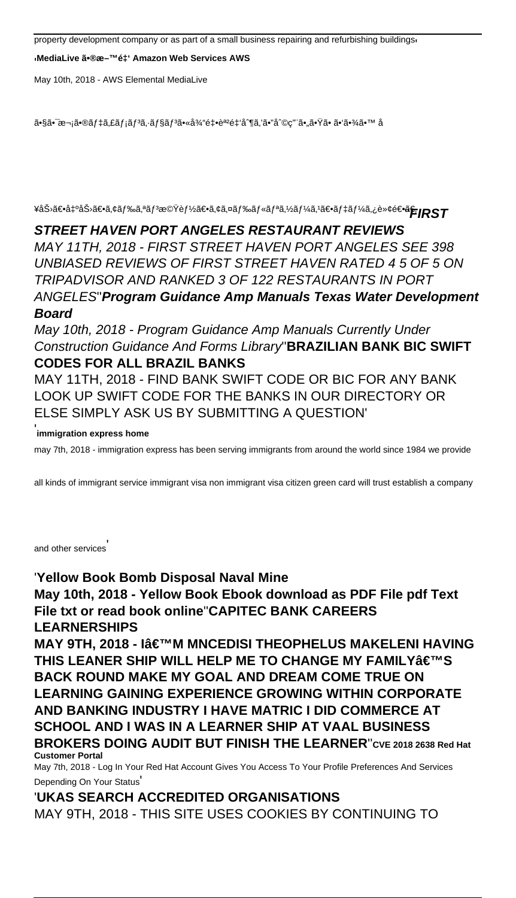property development company or as part of a small business repairing and refurbishing buildings'

<sub>'</sub>MediaLive 㕮料金 Amazon Web Services AWS

May 10th, 2018 - AWS Elemental MediaLive

㕧㕯次㕮デã,£ãƒ¡ã{¾ã{§ãƒ¾ã•«å¾"釕誺金制ã,'ã•"å^©ç"¨ã•"㕟ã• ã•'㕾ã•™ å

¥åŠ›ã€•å‡ºåŠ›ã€•ã,¢ãƒ‰ã,ªãƒ<sup>3</sup>機能〕ã,¢ã,¤ãƒ‰ãƒ«ãƒªã,½ãƒ¼ã,½ê€•デーã,¿è»¢é<del>G°**ã5**RS</del>T

#### **STREET HAVEN PORT ANGELES RESTAURANT REVIEWS**

MAY 11TH, 2018 - FIRST STREET HAVEN PORT ANGELES SEE 398 UNBIASED REVIEWS OF FIRST STREET HAVEN RATED 4 5 OF 5 ON TRIPADVISOR AND RANKED 3 OF 122 RESTAURANTS IN PORT ANGELES''**Program Guidance Amp Manuals Texas Water Development Board**

May 10th, 2018 - Program Guidance Amp Manuals Currently Under Construction Guidance And Forms Library''**BRAZILIAN BANK BIC SWIFT CODES FOR ALL BRAZIL BANKS**

MAY 11TH, 2018 - FIND BANK SWIFT CODE OR BIC FOR ANY BANK LOOK UP SWIFT CODE FOR THE BANKS IN OUR DIRECTORY OR ELSE SIMPLY ASK US BY SUBMITTING A QUESTION'

## ' **immigration express home**

may 7th, 2018 - immigration express has been serving immigrants from around the world since 1984 we provide

all kinds of immigrant service immigrant visa non immigrant visa citizen green card will trust establish a company

and other services'

'**Yellow Book Bomb Disposal Naval Mine May 10th, 2018 - Yellow Book Ebook download as PDF File pdf Text File txt or read book online**''**CAPITEC BANK CAREERS LEARNERSHIPS**

**MAY 9TH, 2018 - I'M MNCEDISI THEOPHELUS MAKELENI HAVING THIS LEANER SHIP WILL HELP ME TO CHANGE MY FAMILY'S BACK ROUND MAKE MY GOAL AND DREAM COME TRUE ON LEARNING GAINING EXPERIENCE GROWING WITHIN CORPORATE AND BANKING INDUSTRY I HAVE MATRIC I DID COMMERCE AT SCHOOL AND I WAS IN A LEARNER SHIP AT VAAL BUSINESS BROKERS DOING AUDIT BUT FINISH THE LEARNER**''**CVE 2018 2638 Red Hat Customer Portal**

May 7th, 2018 - Log In Your Red Hat Account Gives You Access To Your Profile Preferences And Services Depending On Your Status'

'**UKAS SEARCH ACCREDITED ORGANISATIONS** MAY 9TH, 2018 - THIS SITE USES COOKIES BY CONTINUING TO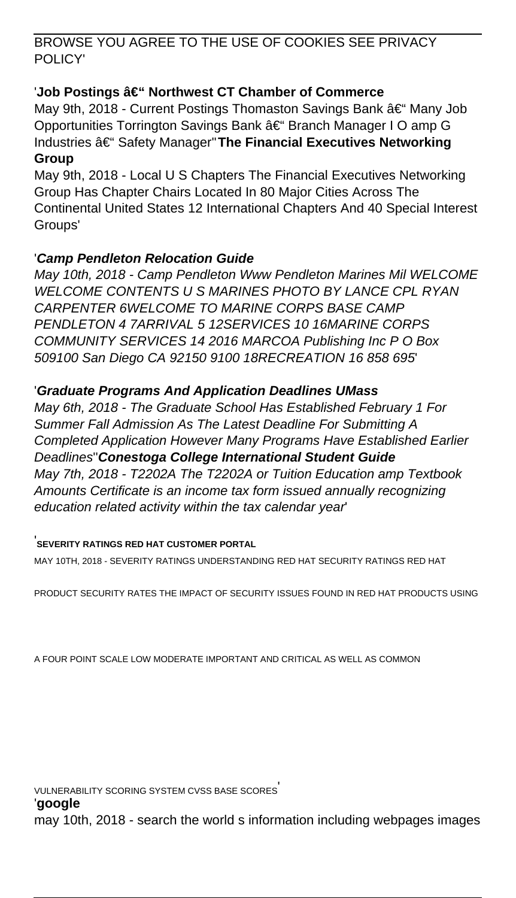BROWSE YOU AGREE TO THE USE OF COOKIES SEE PRIVACY POLICY'

# 'Job Postings â€" Northwest CT Chamber of Commerce

May 9th, 2018 - Current Postings Thomaston Savings Bank – Many Job Opportunities Torrington Savings Bank – Branch Manager I O amp G Industries â€<sup>"</sup> Safety Manager"The Financial Executives Networking **Group**

May 9th, 2018 - Local U S Chapters The Financial Executives Networking Group Has Chapter Chairs Located In 80 Major Cities Across The Continental United States 12 International Chapters And 40 Special Interest Groups'

## '**Camp Pendleton Relocation Guide**

May 10th, 2018 - Camp Pendleton Www Pendleton Marines Mil WELCOME WELCOME CONTENTS U S MARINES PHOTO BY LANCE CPL RYAN CARPENTER 6WELCOME TO MARINE CORPS BASE CAMP PENDLETON 4 7ARRIVAL 5 12SERVICES 10 16MARINE CORPS COMMUNITY SERVICES 14 2016 MARCOA Publishing Inc P O Box 509100 San Diego CA 92150 9100 18RECREATION 16 858 695'

## '**Graduate Programs And Application Deadlines UMass**

May 6th, 2018 - The Graduate School Has Established February 1 For Summer Fall Admission As The Latest Deadline For Submitting A Completed Application However Many Programs Have Established Earlier Deadlines''**Conestoga College International Student Guide** May 7th, 2018 - T2202A The T2202A or Tuition Education amp Textbook Amounts Certificate is an income tax form issued annually recognizing education related activity within the tax calendar year'

### '**SEVERITY RATINGS RED HAT CUSTOMER PORTAL**

MAY 10TH, 2018 - SEVERITY RATINGS UNDERSTANDING RED HAT SECURITY RATINGS RED HAT

PRODUCT SECURITY RATES THE IMPACT OF SECURITY ISSUES FOUND IN RED HAT PRODUCTS USING

A FOUR POINT SCALE LOW MODERATE IMPORTANT AND CRITICAL AS WELL AS COMMON

VULNERABILITY SCORING SYSTEM CVSS BASE SCORES'

'**google**

may 10th, 2018 - search the world s information including webpages images